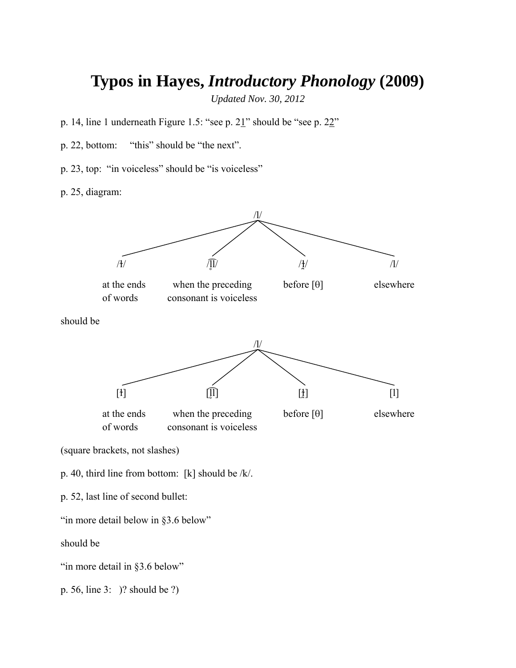## **Typos in Hayes,** *Introductory Phonology* **(2009)**

*Updated Nov. 30, 2012* 

- p. 14, line 1 underneath Figure 1.5: "see p. 21" should be "see p. 22"
- p. 22, bottom: "this" should be "the next".
- p. 23, top: "in voiceless" should be "is voiceless"

p. 25, diagram:



p. 56, line 3: )? should be ?)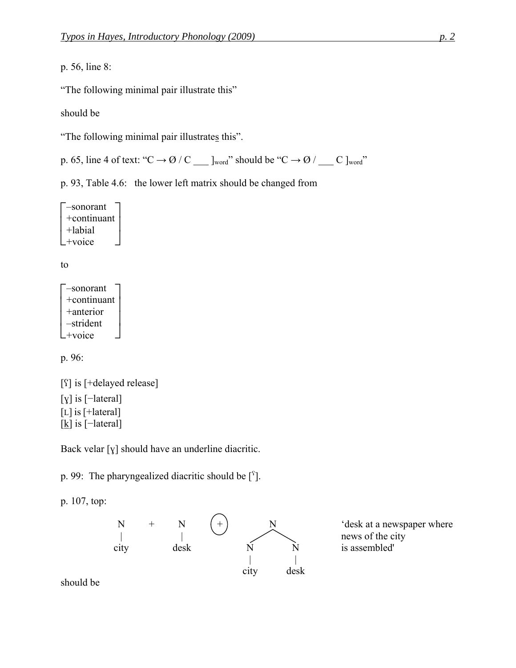p. 56, line 8:

"The following minimal pair illustrate this"

should be

"The following minimal pair illustrates this".

p. 65, line 4 of text: " $C \rightarrow \emptyset / C$   $\Box$  ]word" should be " $C \rightarrow \emptyset / C$   $\Box$   $\Box$ 

p. 93, Table 4.6: the lower left matrix should be changed from

 $\mathcal{L}^+$ voice  $\vert$  +labial  $\begin{bmatrix} -\text{sonorant} \\ \text{+continuum} \end{bmatrix}$  $\rfloor$  $\overline{\phantom{a}}$ +continuant

to

 $L^{succ}_{\text{voice}}$  $\mathsf{L}$  $+$ continua<br>+anterior  $\begin{bmatrix} -\text{sonorant} \\ \text{+continuum} \end{bmatrix}$  $\rfloor$  $\overline{\phantom{a}}$  $\overline{\phantom{a}}$ +continuant –strident

p. 96:

[ʕ] is [+delayed release] [ɣ] is [−lateral] [L] is [+lateral] [kღ] is [-lateral]

Back velar [ɣ] should have an underline diacritic.

p. 99: The pharyngealized diacritic should be  $[^{s}]$ .

p. 107, top:



news of the city

should be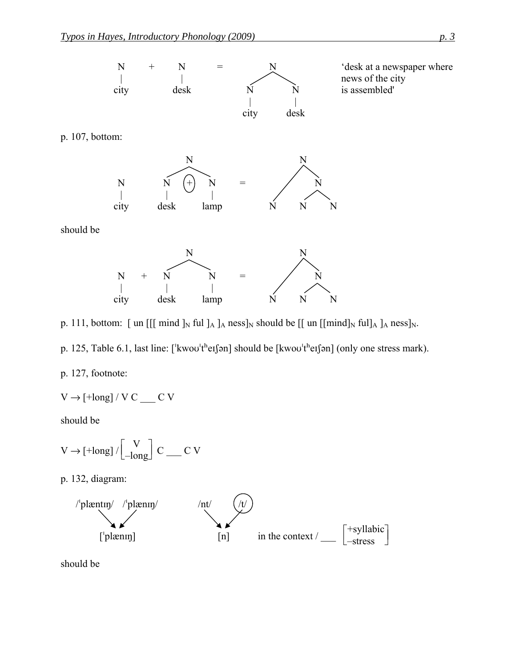

p. 111, bottom: [ un [[[ mind  $]_N$  ful  $]_A$  ]<sub>A</sub> ness]<sub>N</sub> should be [[ un [[mind]<sub>N</sub> ful]<sub>A</sub> ]<sub>A</sub> ness]<sub>N</sub>.



p. 127, footnote:

$$
V \to [\text{+long}] \, / \, V \, C \, \underline{\hspace{1cm}} \, C \, V
$$

should be

$$
V \to [\text{+long}]\,/\!\left[\begin{matrix} V \\ -\text{long} \end{matrix}\right]\,C \underline{\qquad} C\,\,V
$$

p. 132, diagram:



should be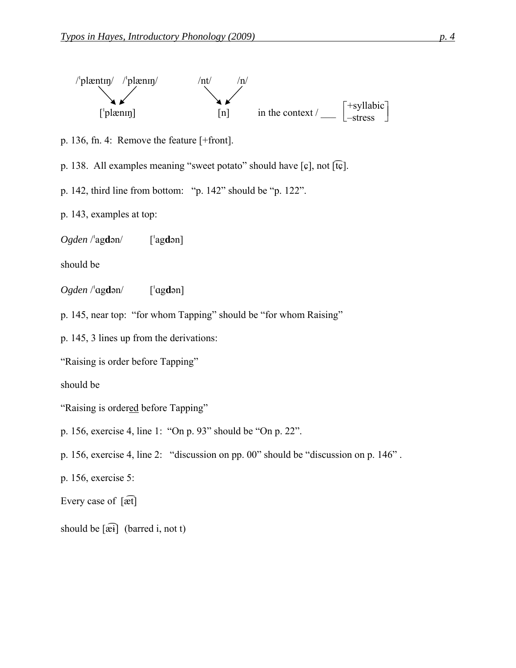

p. 136, fn. 4: Remove the feature [+front].

p. 138. All examples meaning "sweet potato" should have  $\lceil \varphi \rceil$ , not  $\lceil \widehat{\tau \varphi} \rceil$ .

p. 142, third line from bottom: "p. 142" should be "p. 122".

p. 143, examples at top:

*Ogden* /ˈag**d**ən/ [ˈag**d**ən]

should be

*Ogden* /ˈg**d**ən/ [ˈg**d**ən]

p. 145, near top: "for whom Tapping" should be "for whom Raising"

p. 145, 3 lines up from the derivations:

"Raising is order before Tapping"

should be

- "Raising is ordered before Tapping"
- p. 156, exercise 4, line 1: "On p. 93" should be "On p. 22".
- p. 156, exercise 4, line 2: "discussion on pp. 00" should be "discussion on p. 146" .
- p. 156, exercise 5:

Every case of  $[\widehat{\mathrm{æt}}]$ 

should be  $\widehat{[æi]}$  (barred i, not t)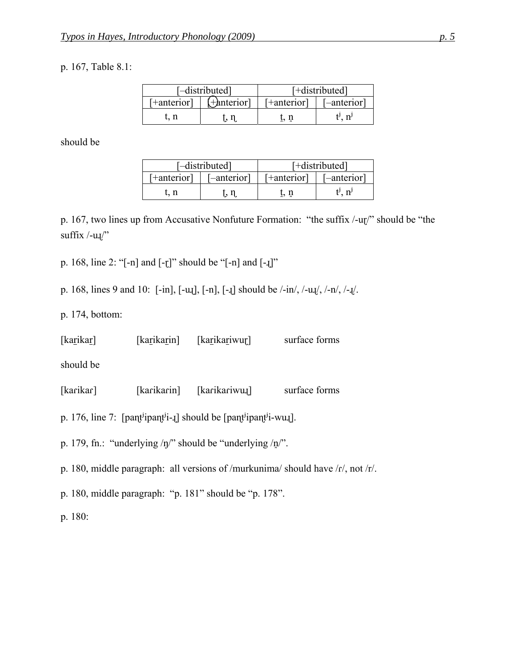## p. 167, Table 8.1:

| [-distributed] |                   | [+distributed]             |         |  |
|----------------|-------------------|----------------------------|---------|--|
| [+anterior]    | $[+$ anterior $]$ | [+anterior]<br>[-anterior] |         |  |
|                |                   | t.n                        | $n^{j}$ |  |

should be

| [-distributed] |             | [+distributed]             |                |
|----------------|-------------|----------------------------|----------------|
| '+anterior]    | [-anterior] | [+anterior]<br>[-anterior] |                |
| ∴ n            |             |                            | n <sup>j</sup> |

p. 167, two lines up from Accusative Nonfuture Formation: "the suffix /-uɽ/" should be "the suffix  $\frac{1}{2}$ .

p. 168, line 2: "[-n] and [-ɽ]" should be "[-n] and [-ɻ]"

p. 168, lines 9 and 10: [-in], [-uɻ], [-n], [-ɻ] should be /-in/, /-uɻ/, /-n/, /-ɻ/.

p. 174, bottom:

| [karikar] | [karikarin] | [karikariwur] | surface forms |
|-----------|-------------|---------------|---------------|
|-----------|-------------|---------------|---------------|

should be

[kaɾikaɾ] [kaɾikaɾin] [kaɾikaɾiwuɻ] surface forms

p. 176, line 7: [pant<sup>j</sup>ipan<sup>tj</sup>i-*I*] should be [pant<sup>j</sup>ipant<sup>j</sup>i-wu*I*].

p. 179, fn.: "underlying /ŋ/" should be "underlying /n $\gamma$ ".

p. 180, middle paragraph: all versions of /murkunima/ should have /r/, not /r/.

p. 180, middle paragraph: "p. 181" should be "p. 178".

p. 180: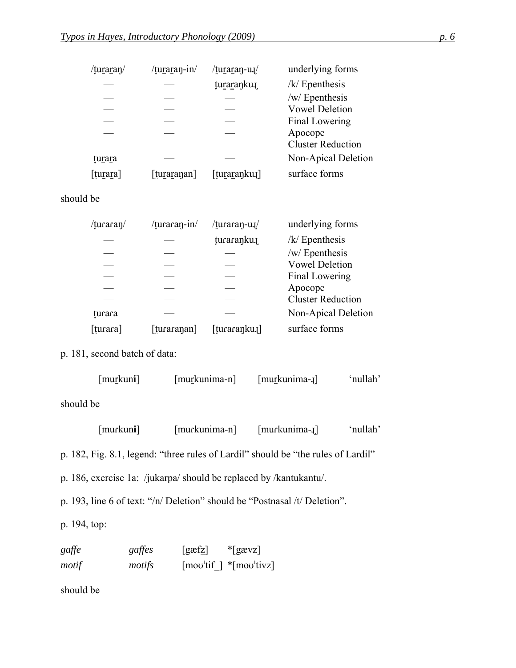| /tu <u>rar</u> aŋ/ | /turaran-in/ | /turaran-u.  | underlying forms         |
|--------------------|--------------|--------------|--------------------------|
|                    |              | turarankun   | $/k/$ Epenthesis         |
|                    |              |              | /w/ Epenthesis           |
|                    |              |              | <b>Vowel Deletion</b>    |
|                    |              |              | Final Lowering           |
|                    |              |              | Apocope                  |
|                    |              |              | <b>Cluster Reduction</b> |
| turara             |              |              | Non-Apical Deletion      |
| [turara]           | [turaranan]  | [turaranku.] | surface forms            |
|                    |              |              |                          |

## should be

| /turaran/ | /turaran-in/ | /turaran-u.  | underlying forms         |
|-----------|--------------|--------------|--------------------------|
|           |              | turaranku    | $/k/$ Epenthesis         |
|           |              |              | /w/ Epenthesis           |
|           |              |              | <b>Vowel Deletion</b>    |
|           |              |              | Final Lowering           |
|           |              |              | Apocope                  |
|           |              |              | <b>Cluster Reduction</b> |
| turara    |              |              | Non-Apical Deletion      |
| [turara]  | [turaranan]  | [turaranku.] | surface forms            |

p. 181, second batch of data:

| $[mu$ rkuni] | [murkunima-n] | $[murkunima-1]$ | 'nullah' |
|--------------|---------------|-----------------|----------|
| should be    |               |                 |          |

 [muɾkun**i**] [muɾkunima-n] [muɾkunima-ɻ] 'nullah' p. 182, Fig. 8.1, legend: "three rules of Lardil" should be "the rules of Lardil" p. 186, exercise 1a: /jukarpa/ should be replaced by /kantukantu/. p. 193, line 6 of text: "/n/ Deletion" should be "Postnasal /t/ Deletion". p. 194, top:

| gaffe | gaffes | [ <i>g xfz</i> ] | $*$ [gævz]                                                                             |
|-------|--------|------------------|----------------------------------------------------------------------------------------|
| motif | motifs |                  | $\lceil \text{mov}^{\text{th}} \rceil \rceil$ * $\lceil \text{mov}^{\text{th}} \rceil$ |

should be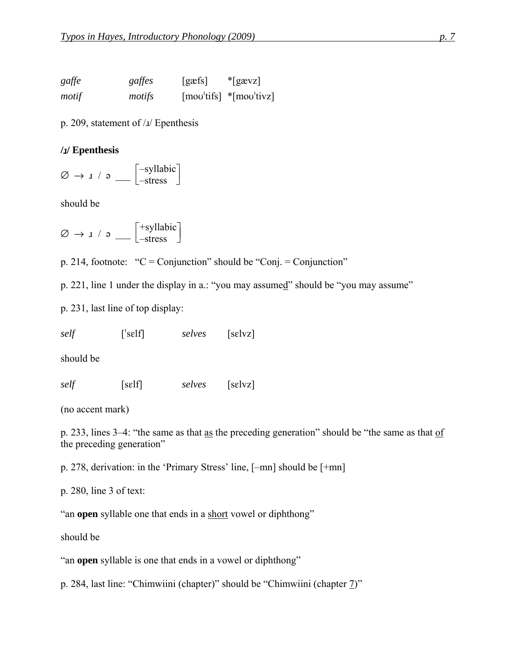| gaffe | gaffes | $[g\text{æfs}]$ | $*$ [gævz]                                                                      |
|-------|--------|-----------------|---------------------------------------------------------------------------------|
| motif | motifs |                 | $\lceil \text{mov}'\text{tifs} \rceil$ * $\lceil \text{mov}'\text{tivz} \rceil$ |

p. 209, statement of /ɹ/ Epenthesis

## **/**ɹ**/ Epenthesis**

 $\varnothing \rightarrow$   $\downarrow$  /  $\circ$   $\_$ –syllabic –stress

should be

 $\varnothing \rightarrow$   $\downarrow$  /  $\circ$   $\_$ +syllabic –stress

p. 214, footnote: " $C =$ Conjunction" should be "Conj. = Conjunction"

p. 221, line 1 under the display in a.: "you may assumed" should be "you may assume"

p. 231, last line of top display:

*self* [ˈsɛlf] *selves* [sɛlvz]

should be

*self* [sɛlf] *selves* [sɛlvz]

(no accent mark)

p. 233, lines 3–4: "the same as that as the preceding generation" should be "the same as that of the preceding generation"

p. 278, derivation: in the 'Primary Stress' line, [–mn] should be [+mn]

p. 280, line 3 of text:

"an **open** syllable one that ends in a short vowel or diphthong"

should be

"an **open** syllable is one that ends in a vowel or diphthong"

p. 284, last line: "Chimwiini (chapter)" should be "Chimwiini (chapter  $\frac{7}{2}$ "